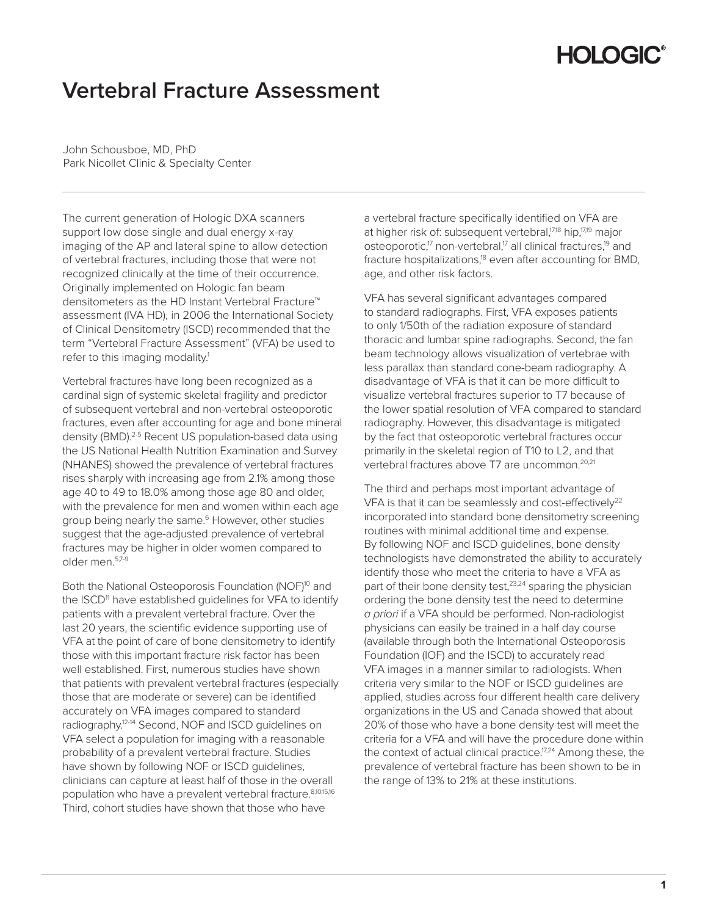# **HOLOGIC®**

## **Vertebral Fracture Assessment**

John Schousboe, MD, PhD Park Nicollet Clinic & Specialty Center

The current generation of Hologic DXA scanners support low dose single and dual energy x-ray imaging of the AP and lateral spine to allow detection of vertebral fractures, including those that were not recognized clinically at the time of their occurrence. Originally implemented on Hologic fan beam densitometers as the HD Instant Vertebral Fracture™ assessment (IVA HD), in 2006 the International Society of Clinical Densitometry (ISCD) recommended that the term "Vertebral Fracture Assessment" (VFA) be used to refer to this imaging modality.<sup>1</sup>

Vertebral fractures have long been recognized as a cardinal sign of systemic skeletal fragility and predictor of subsequent vertebral and non-vertebral osteoporotic fractures, even after accounting for age and bone mineral density (BMD).2-5 Recent US population-based data using the US National Health Nutrition Examination and Survey (NHANES) showed the prevalence of vertebral fractures rises sharply with increasing age from 2.1% among those age 40 to 49 to 18.0% among those age 80 and older, with the prevalence for men and women within each age group being nearly the same.<sup>6</sup> However, other studies suggest that the age-adjusted prevalence of vertebral fractures may be higher in older women compared to older men.5,7-9

Both the National Osteoporosis Foundation (NOF)<sup>10</sup> and the ISCD<sup>11</sup> have established quidelines for VFA to identify patients with a prevalent vertebral fracture. Over the last 20 years, the scientific evidence supporting use of VFA at the point of care of bone densitometry to identify those with this important fracture risk factor has been well established. First, numerous studies have shown that patients with prevalent vertebral fractures (especially those that are moderate or severe) can be identified accurately on VFA images compared to standard radiography.12-14 Second, NOF and ISCD guidelines on VFA select a population for imaging with a reasonable probability of a prevalent vertebral fracture. Studies have shown by following NOF or ISCD guidelines, clinicians can capture at least half of those in the overall population who have a prevalent vertebral fracture. 8,10,15,16 Third, cohort studies have shown that those who have

a vertebral fracture specifically identified on VFA are at higher risk of: subsequent vertebral,<sup>17,18</sup> hip,<sup>17,19</sup> major osteoporotic,<sup>17</sup> non-vertebral,<sup>17</sup> all clinical fractures,<sup>19</sup> and fracture hospitalizations,<sup>18</sup> even after accounting for BMD, age, and other risk factors.

VFA has several significant advantages compared to standard radiographs. First, VFA exposes patients to only 1/50th of the radiation exposure of standard thoracic and lumbar spine radiographs. Second, the fan beam technology allows visualization of vertebrae with less parallax than standard cone-beam radiography. A disadvantage of VFA is that it can be more difficult to visualize vertebral fractures superior to T7 because of the lower spatial resolution of VFA compared to standard radiography. However, this disadvantage is mitigated by the fact that osteoporotic vertebral fractures occur primarily in the skeletal region of T10 to L2, and that vertebral fractures above T7 are uncommon.20,21

The third and perhaps most important advantage of VFA is that it can be seamlessly and cost-effectively<sup>22</sup> incorporated into standard bone densitometry screening routines with minimal additional time and expense. By following NOF and ISCD guidelines, bone density technologists have demonstrated the ability to accurately identify those who meet the criteria to have a VFA as part of their bone density test,<sup>23,24</sup> sparing the physician ordering the bone density test the need to determine *a priori* if a VFA should be performed. Non-radiologist physicians can easily be trained in a half day course (available through both the International Osteoporosis Foundation (IOF) and the ISCD) to accurately read VFA images in a manner similar to radiologists. When criteria very similar to the NOF or ISCD guidelines are applied, studies across four different health care delivery organizations in the US and Canada showed that about 20% of those who have a bone density test will meet the criteria for a VFA and will have the procedure done within the context of actual clinical practice.<sup>17,24</sup> Among these, the prevalence of vertebral fracture has been shown to be in the range of 13% to 21% at these institutions.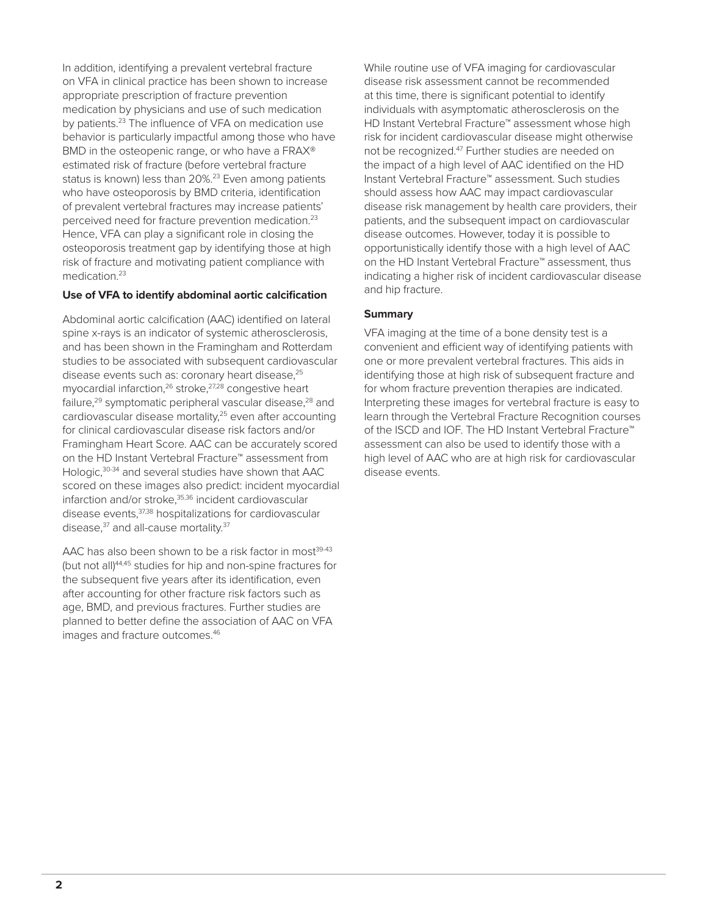In addition, identifying a prevalent vertebral fracture on VFA in clinical practice has been shown to increase appropriate prescription of fracture prevention medication by physicians and use of such medication by patients.<sup>23</sup> The influence of VFA on medication use behavior is particularly impactful among those who have BMD in the osteopenic range, or who have a FRAX® estimated risk of fracture (before vertebral fracture status is known) less than 20%.<sup>23</sup> Even among patients who have osteoporosis by BMD criteria, identification of prevalent vertebral fractures may increase patients' perceived need for fracture prevention medication.23 Hence, VFA can play a significant role in closing the osteoporosis treatment gap by identifying those at high risk of fracture and motivating patient compliance with medication.<sup>23</sup>

#### Use of VFA to identify abdominal aortic calcification

Abdominal aortic calcification (AAC) identified on lateral spine x-rays is an indicator of systemic atherosclerosis, and has been shown in the Framingham and Rotterdam studies to be associated with subsequent cardiovascular disease events such as: coronary heart disease,<sup>25</sup> myocardial infarction, $26$  stroke, $27,28$  congestive heart failure,<sup>29</sup> symptomatic peripheral vascular disease,<sup>28</sup> and cardiovascular disease mortality,<sup>25</sup> even after accounting for clinical cardiovascular disease risk factors and/or Framingham Heart Score. AAC can be accurately scored on the HD Instant Vertebral Fracture™ assessment from Hologic,30-34 and several studies have shown that AAC scored on these images also predict: incident myocardial infarction and/or stroke, 35,36 incident cardiovascular disease events,37,38 hospitalizations for cardiovascular disease,<sup>37</sup> and all-cause mortality.<sup>37</sup>

AAC has also been shown to be a risk factor in most<sup>39-43</sup> (but not all)44,45 studies for hip and non-spine fractures for the subsequent five years after its identification, even after accounting for other fracture risk factors such as age, BMD, and previous fractures. Further studies are planned to better define the association of AAC on VFA images and fracture outcomes.<sup>46</sup>

While routine use of VFA imaging for cardiovascular disease risk assessment cannot be recommended at this time, there is significant potential to identify individuals with asymptomatic atherosclerosis on the HD Instant Vertebral Fracture™ assessment whose high risk for incident cardiovascular disease might otherwise not be recognized.<sup>47</sup> Further studies are needed on the impact of a high level of AAC identified on the HD Instant Vertebral Fracture™ assessment. Such studies should assess how AAC may impact cardiovascular disease risk management by health care providers, their patients, and the subsequent impact on cardiovascular disease outcomes. However, today it is possible to opportunistically identify those with a high level of AAC on the HD Instant Vertebral Fracture™ assessment, thus indicating a higher risk of incident cardiovascular disease and hip fracture.

### **Summary**

VFA imaging at the time of a bone density test is a convenient and efficient way of identifying patients with one or more prevalent vertebral fractures. This aids in identifying those at high risk of subsequent fracture and for whom fracture prevention therapies are indicated. Interpreting these images for vertebral fracture is easy to learn through the Vertebral Fracture Recognition courses of the ISCD and IOF. The HD Instant Vertebral Fracture™ assessment can also be used to identify those with a high level of AAC who are at high risk for cardiovascular disease events.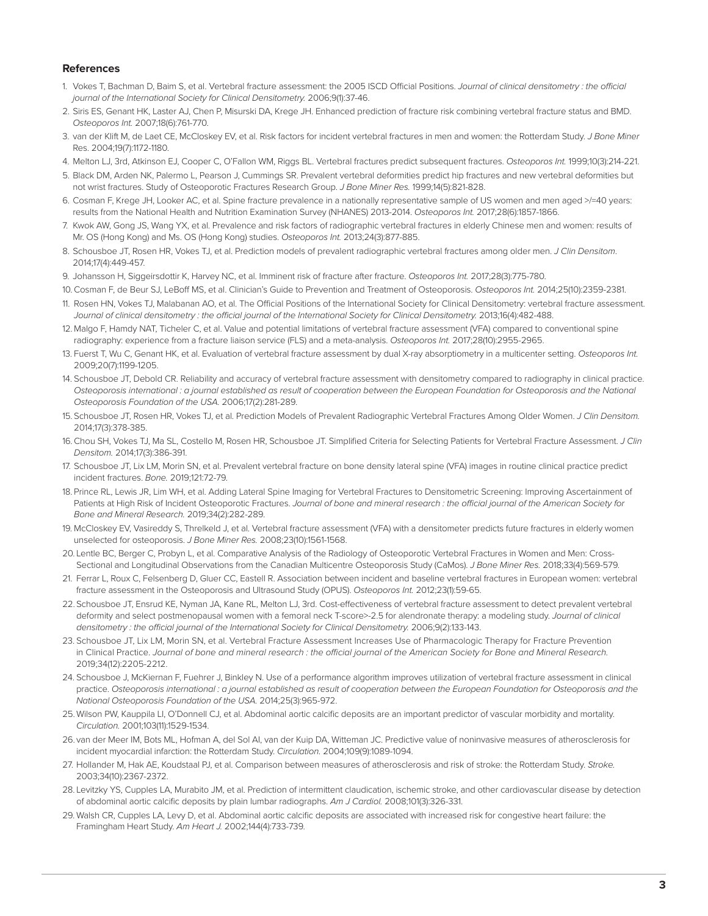#### **References**

- 1. Vokes T, Bachman D, Baim S, et al. Vertebral fracture assessment: the 2005 ISCD Official Positions. *Journal of clinical densitometry : the official journal of the International Society for Clinical Densitometry.* 2006;9(1):37-46.
- 2. Siris ES, Genant HK, Laster AJ, Chen P, Misurski DA, Krege JH. Enhanced prediction of fracture risk combining vertebral fracture status and BMD. *Osteoporos Int.* 2007;18(6):761-770.
- 3. van der Klift M, de Laet CE, McCloskey EV, et al. Risk factors for incident vertebral fractures in men and women: the Rotterdam Study. *J Bone Miner*  Res. 2004;19(7):1172-1180.
- 4. Melton LJ, 3rd, Atkinson EJ, Cooper C, O'Fallon WM, Riggs BL. Vertebral fractures predict subsequent fractures. *Osteoporos Int.* 1999;10(3):214-221.
- 5. Black DM, Arden NK, Palermo L, Pearson J, Cummings SR. Prevalent vertebral deformities predict hip fractures and new vertebral deformities but not wrist fractures. Study of Osteoporotic Fractures Research Group. *J Bone Miner Res.* 1999;14(5):821-828.
- 6. Cosman F, Krege JH, Looker AC, et al. Spine fracture prevalence in a nationally representative sample of US women and men aged >/=40 years: results from the National Health and Nutrition Examination Survey (NHANES) 2013-2014. *Osteoporos Int.* 2017;28(6):1857-1866.
- 7. Kwok AW, Gong JS, Wang YX, et al. Prevalence and risk factors of radiographic vertebral fractures in elderly Chinese men and women: results of Mr. OS (Hong Kong) and Ms. OS (Hong Kong) studies. *Osteoporos Int.* 2013;24(3):877-885.
- 8. Schousboe JT, Rosen HR, Vokes TJ, et al. Prediction models of prevalent radiographic vertebral fractures among older men. *J Clin Densitom*. 2014;17(4):449-457.
- 9. Johansson H, Siggeirsdottir K, Harvey NC, et al. Imminent risk of fracture after fracture. *Osteoporos Int.* 2017;28(3):775-780.
- 10. Cosman F, de Beur SJ, LeBoff MS, et al. Clinician's Guide to Prevention and Treatment of Osteoporosis. *Osteoporos Int.* 2014;25(10):2359-2381.
- 11. Rosen HN, Vokes TJ, Malabanan AO, et al. The Official Positions of the International Society for Clinical Densitometry: vertebral fracture assessment. Journal of clinical densitometry: the official journal of the International Society for Clinical Densitometry. 2013;16(4):482-488.
- 12. Malgo F, Hamdy NAT, Ticheler C, et al. Value and potential limitations of vertebral fracture assessment (VFA) compared to conventional spine radiography: experience from a fracture liaison service (FLS) and a meta-analysis. *Osteoporos Int.* 2017;28(10):2955-2965.
- 13. Fuerst T, Wu C, Genant HK, et al. Evaluation of vertebral fracture assessment by dual X-ray absorptiometry in a multicenter setting. *Osteoporos Int.* 2009;20(7):1199-1205.
- 14. Schousboe JT, Debold CR. Reliability and accuracy of vertebral fracture assessment with densitometry compared to radiography in clinical practice. *Osteoporosis international : a journal established as result of cooperation between the European Foundation for Osteoporosis and the National Osteoporosis Foundation of the USA.* 2006;17(2):281-289.
- 15. Schousboe JT, Rosen HR, Vokes TJ, et al. Prediction Models of Prevalent Radiographic Vertebral Fractures Among Older Women. *J Clin Densitom.* 2014;17(3):378-385.
- 16. Chou SH, Vokes TJ, Ma SL, Costello M, Rosen HR, Schousboe JT. Simplified Criteria for Selecting Patients for Vertebral Fracture Assessment. *J Clin Densitom.* 2014;17(3):386-391.
- 17. Schousboe JT, Lix LM, Morin SN, et al. Prevalent vertebral fracture on bone density lateral spine (VFA) images in routine clinical practice predict incident fractures. *Bone.* 2019;121:72-79.
- 18. Prince RL, Lewis JR, Lim WH, et al. Adding Lateral Spine Imaging for Vertebral Fractures to Densitometric Screening: Improving Ascertainment of Patients at High Risk of Incident Osteoporotic Fractures. *Journal of bone and mineral research : the official journal of the American Society for Bone and Mineral Research.* 2019;34(2):282-289.
- 19. McCloskey EV, Vasireddy S, Threlkeld J, et al. Vertebral fracture assessment (VFA) with a densitometer predicts future fractures in elderly women unselected for osteoporosis. *J Bone Miner Res.* 2008;23(10):1561-1568.
- 20. Lentle BC, Berger C, Probyn L, et al. Comparative Analysis of the Radiology of Osteoporotic Vertebral Fractures in Women and Men: Cross-Sectional and Longitudinal Observations from the Canadian Multicentre Osteoporosis Study (CaMos). *J Bone Miner Res.* 2018;33(4):569-579.
- 21. Ferrar L, Roux C, Felsenberg D, Gluer CC, Eastell R. Association between incident and baseline vertebral fractures in European women: vertebral fracture assessment in the Osteoporosis and Ultrasound Study (OPUS). *Osteoporos Int.* 2012;23(1):59-65.
- 22. Schousboe JT, Ensrud KE, Nyman JA, Kane RL, Melton LJ, 3rd. Cost-effectiveness of vertebral fracture assessment to detect prevalent vertebral deformity and select postmenopausal women with a femoral neck T-score>-2.5 for alendronate therapy: a modeling study. *Journal of clinical densitometry : the official journal of the International Society for Clinical Densitometry.* 2006;9(2):133-143.
- 23. Schousboe JT, Lix LM, Morin SN, et al. Vertebral Fracture Assessment Increases Use of Pharmacologic Therapy for Fracture Prevention in Clinical Practice. *Journal of bone and mineral research : the official journal of the American Society for Bone and Mineral Research.*  2019;34(12):2205-2212.
- 24. Schousboe J, McKiernan F, Fuehrer J, Binkley N. Use of a performance algorithm improves utilization of vertebral fracture assessment in clinical practice. *Osteoporosis international : a journal established as result of cooperation between the European Foundation for Osteoporosis and the National Osteoporosis Foundation of the USA.* 2014;25(3):965-972.
- 25. Wilson PW, Kauppila LI, O'Donnell CJ, et al. Abdominal aortic calcific deposits are an important predictor of vascular morbidity and mortality. *Circulation.* 2001;103(11):1529-1534.
- 26. van der Meer IM, Bots ML, Hofman A, del Sol AI, van der Kuip DA, Witteman JC. Predictive value of noninvasive measures of atherosclerosis for incident myocardial infarction: the Rotterdam Study. *Circulation.* 2004;109(9):1089-1094.
- 27. Hollander M, Hak AE, Koudstaal PJ, et al. Comparison between measures of atherosclerosis and risk of stroke: the Rotterdam Study. *Stroke.* 2003;34(10):2367-2372.
- 28. Levitzky YS, Cupples LA, Murabito JM, et al. Prediction of intermittent claudication, ischemic stroke, and other cardiovascular disease by detection of abdominal aortic calcific deposits by plain lumbar radiographs. *Am J Cardiol.* 2008;101(3):326-331.
- 29. Walsh CR, Cupples LA, Levy D, et al. Abdominal aortic calcific deposits are associated with increased risk for congestive heart failure: the Framingham Heart Study. *Am Heart J.* 2002;144(4):733-739.